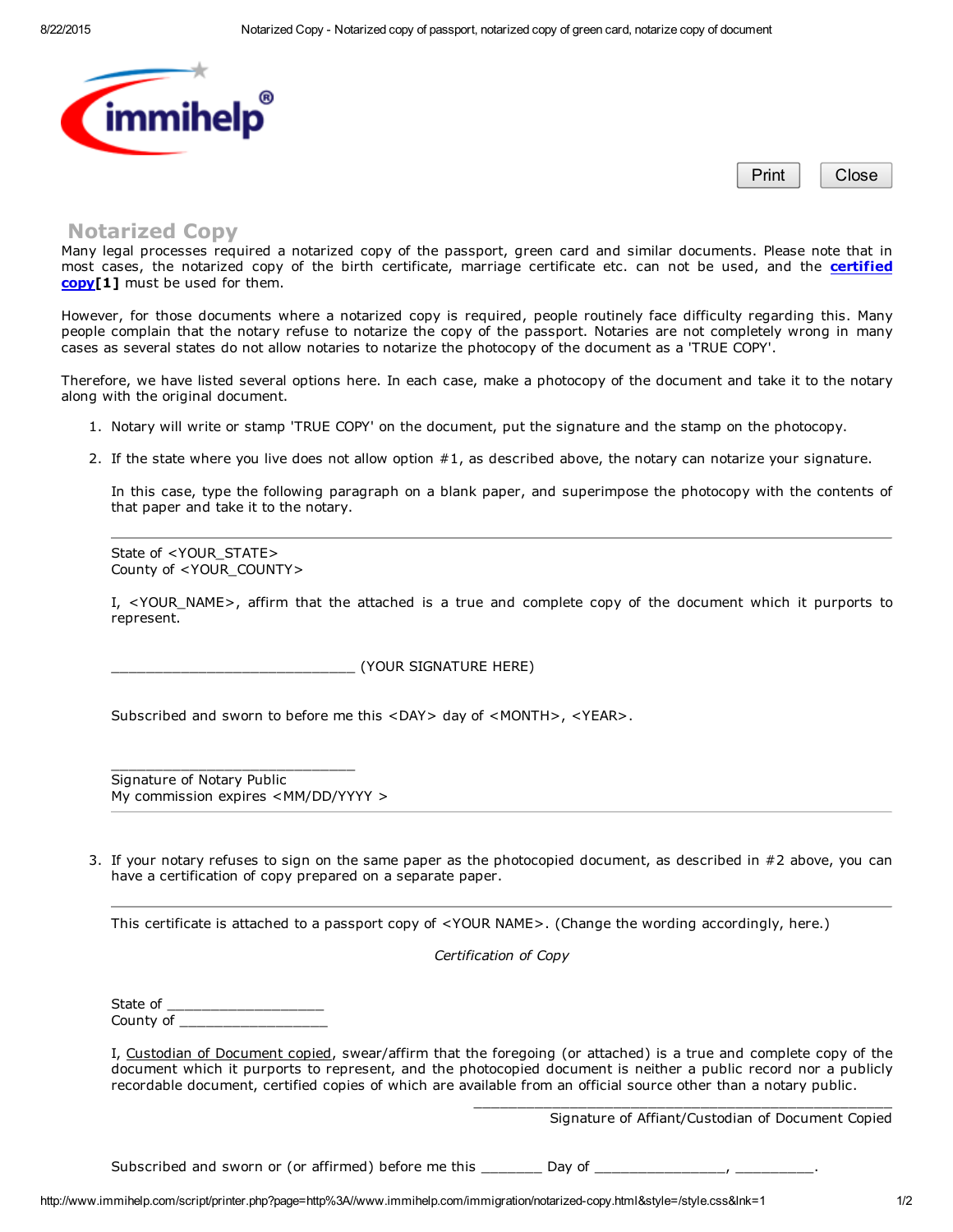

Print | Close

## Notarized Copy

Many legal processes required a notarized copy of the passport, green card and similar documents. Please note that in most cases, the notarized copy of the birth [certificate,](http://www.immihelp.com/immigration/certified-copy.html) marriage certificate etc. can not be used, and the certified copy[1] must be used for them.

However, for those documents where a notarized copy is required, people routinely face difficulty regarding this. Many people complain that the notary refuse to notarize the copy of the passport. Notaries are not completely wrong in many cases as several states do not allow notaries to notarize the photocopy of the document as a 'TRUE COPY'.

Therefore, we have listed several options here. In each case, make a photocopy of the document and take it to the notary along with the original document.

- 1. Notary will write or stamp 'TRUE COPY' on the document, put the signature and the stamp on the photocopy.
- 2. If the state where you live does not allow option #1, as described above, the notary can notarize your signature.

In this case, type the following paragraph on a blank paper, and superimpose the photocopy with the contents of that paper and take it to the notary.

State of <YOUR\_STATE> County of <YOUR\_COUNTY>

I, <YOUR NAME>, affirm that the attached is a true and complete copy of the document which it purports to represent.

\_\_\_\_\_\_\_\_\_\_\_\_\_\_\_\_\_\_\_\_\_\_\_\_\_\_\_\_ (YOUR SIGNATURE HERE)

Subscribed and sworn to before me this <DAY> day of <MONTH>, <YEAR>.

Signature of Notary Public My commission expires <MM/DD/YYYY >

\_\_\_\_\_\_\_\_\_\_\_\_\_\_\_\_\_\_\_\_\_\_\_\_\_\_\_\_

3. If your notary refuses to sign on the same paper as the photocopied document, as described in #2 above, you can have a certification of copy prepared on a separate paper.

This certificate is attached to a passport copy of <YOUR NAME>. (Change the wording accordingly, here.)

*Certification of Copy*

State of County of

I, Custodian of Document copied, swear/affirm that the foregoing (or attached) is a true and complete copy of the document which it purports to represent, and the photocopied document is neither a public record nor a publicly recordable document, certified copies of which are available from an official source other than a notary public.

Signature of Affiant/Custodian of Document Copied

\_\_\_\_\_\_\_\_\_\_\_\_\_\_\_\_\_\_\_\_\_\_\_\_\_\_\_\_\_\_\_\_\_\_\_\_\_\_\_\_\_\_\_\_\_\_\_\_

Subscribed and sworn or (or affirmed) before me this Day of